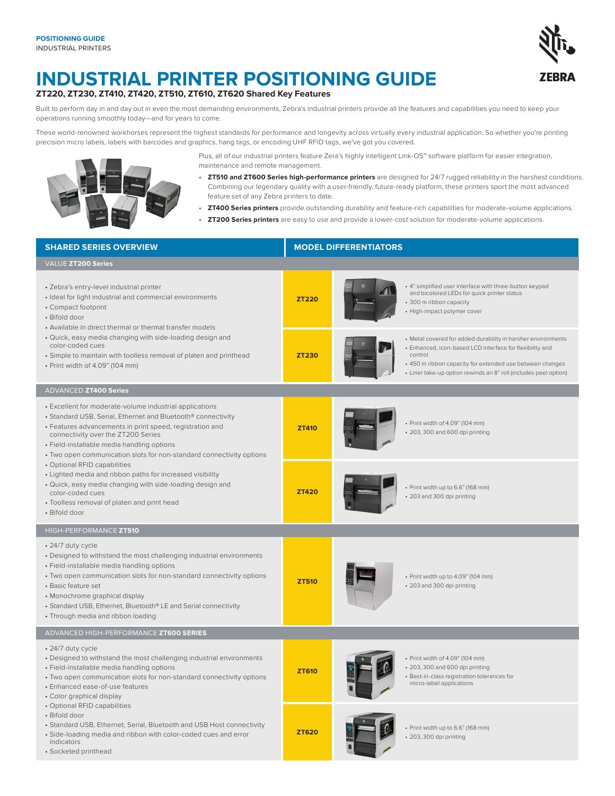

## **INDUSTRIAL PRINTER POSITIONING GUIDE**

**ZT220, ZT230, ZT410, ZT420, ZT510, ZT610, ZT620 Shared Key Features**

Built to perform day in and day out in even the most demanding environments, Zebra's industrial printers provide all the features and capabilities you need to keep your operations running smoothly today—and for years to come.

These world-renowned workhorses represent the highest standards for performance and longevity across virtually every industrial application. So whether you're printing precision micro labels, labels with barcodes and graphics, hang tags, or encoding UHF RFID tags, we've got you covered.



Plus, all of our industrial printers feature Zera's highly intelligent Link-OS™ software platform for easier integration, maintenance and remote management.

- **• ZT510 and ZT600 Series high-performance printers** are designed for 24/7 rugged reliability in the harshest conditions. Combining our legendary quality with a user-friendly, future-ready platform, these printers sport the most advanced feature set of any Zebra printers to date.
- **• ZT400 Series printers** provide outstanding durability and feature-rich capabilities for moderate-volume applications.
- **• ZT200 Series printers** are easy to use and provide a lower-cost solution for moderate-volume applications.

| <b>SHARED SERIES OVERVIEW</b>                                                                                                                                                                                                                                                                                                                                                     | <b>MODEL DIFFERENTIATORS</b> |                                                                                                                                                                                                                                                                     |  |  |  |  |  |
|-----------------------------------------------------------------------------------------------------------------------------------------------------------------------------------------------------------------------------------------------------------------------------------------------------------------------------------------------------------------------------------|------------------------------|---------------------------------------------------------------------------------------------------------------------------------------------------------------------------------------------------------------------------------------------------------------------|--|--|--|--|--|
| VALUE ZT200 Series                                                                                                                                                                                                                                                                                                                                                                |                              |                                                                                                                                                                                                                                                                     |  |  |  |  |  |
| · Zebra's entry-level industrial printer<br>· Ideal for light industrial and commercial environments<br>• Compact footprint<br>• Bifold door<br>• Available in direct thermal or thermal transfer models                                                                                                                                                                          | <b>ZT220</b>                 | + 4" simplified user interface with three-button keypad<br>and bicolored LEDs for quick printer status<br>• 300 m ribbon capacity<br>• High-impact polymer cover                                                                                                    |  |  |  |  |  |
| • Quick, easy media changing with side-loading design and<br>color-coded cues<br>• Simple to maintain with toolless removal of platen and printhead<br>• Print width of 4.09" (104 mm)                                                                                                                                                                                            | <b>ZT230</b>                 | • Metal covered for added durability in harsher environments<br>· Enhanced, icon-based LCD interface for flexibility and<br>control<br>+ 450 m ribbon capacity for extended use between changes<br>• Liner take-up option rewinds an 8" roll (includes peel option) |  |  |  |  |  |
| <b>ADVANCED ZT400 Series</b>                                                                                                                                                                                                                                                                                                                                                      |                              |                                                                                                                                                                                                                                                                     |  |  |  |  |  |
| • Excellent for moderate-volume industrial applications<br>• Standard USB, Serial, Ethernet and Bluetooth® connectivity<br>• Features advancements in print speed, registration and<br>connectivity over the ZT200 Series<br>· Field-installable media handling options<br>• Two open communication slots for non-standard connectivity options                                   | <b>ZT410</b>                 | • Print width of 4.09" (104 mm)<br>• 203, 300 and 600 dpi printing                                                                                                                                                                                                  |  |  |  |  |  |
| • Optional RFID capabilities<br>• Lighted media and ribbon paths for increased visibility<br>• Quick, easy media changing with side-loading design and<br>color-coded cues<br>· Toolless removal of platen and print head<br>· Bifold door                                                                                                                                        | <b>ZT420</b>                 | · Print width up to 6.6" (168 mm)<br>· 203 and 300 dpi printing                                                                                                                                                                                                     |  |  |  |  |  |
| HIGH-PERFORMANCE ZT510                                                                                                                                                                                                                                                                                                                                                            |                              |                                                                                                                                                                                                                                                                     |  |  |  |  |  |
| • 24/7 duty cycle<br>• Designed to withstand the most challenging industrial environments<br>· Field-installable media handling options<br>• Two open communication slots for non-standard connectivity options<br>• Basic feature set<br>• Monochrome graphical display<br>• Standard USB, Ethernet, Bluetooth® LE and Serial connectivity<br>• Through media and ribbon loading | <b>ZT510</b>                 | • Print width up to 4.09" (104 mm)<br>• 203 and 300 dpi printing                                                                                                                                                                                                    |  |  |  |  |  |
| ADVANCED HIGH-PERFORMANCE ZT600 SERIES                                                                                                                                                                                                                                                                                                                                            |                              |                                                                                                                                                                                                                                                                     |  |  |  |  |  |
| • 24/7 duty cycle<br>• Designed to withstand the most challenging industrial environments<br>· Field-installable media handling options<br>• Two open communication slots for non-standard connectivity options<br>• Enhanced ease-of-use features<br>• Color graphical display                                                                                                   | <b>ZT610</b>                 | • Print width of 4.09" (104 mm)<br>• 203, 300 and 600 dpi printing<br>· Best-in-class registration tolerances for<br>micro-label applications                                                                                                                       |  |  |  |  |  |
| • Optional RFID capabilities<br>• Bifold door<br>• Standard USB, Ethernet, Serial, Bluetooth and USB Host connectivity<br>· Side-loading media and ribbon with color-coded cues and error<br>indicators<br>· Socketed printhead                                                                                                                                                   | <b>ZT620</b>                 | · Print width up to 6.6" (168 mm)<br>· 203, 300 dpi printing                                                                                                                                                                                                        |  |  |  |  |  |